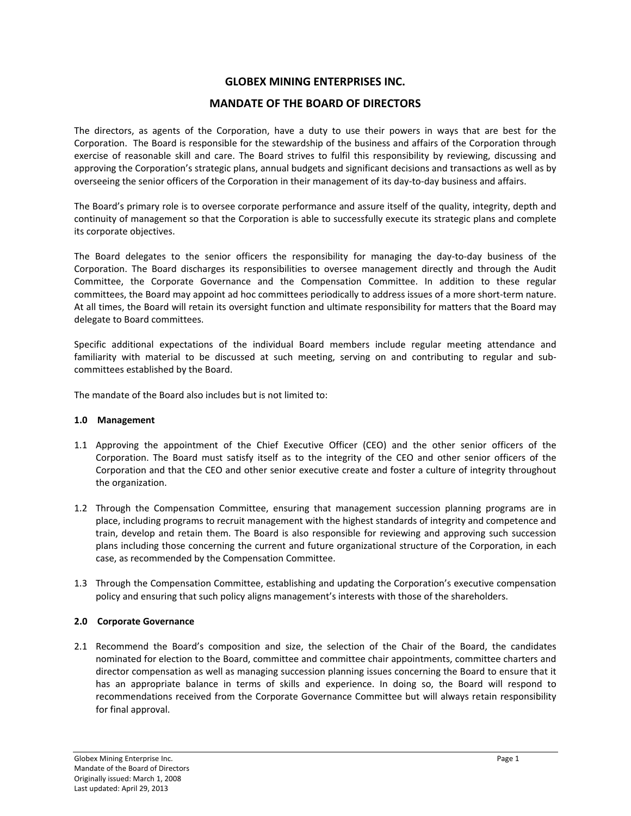# **GLOBEX MINING ENTERPRISES INC.**

# **MANDATE OF THE BOARD OF DIRECTORS**

The directors, as agents of the Corporation, have a duty to use their powers in ways that are best for the Corporation. The Board is responsible for the stewardship of the business and affairs of the Corporation through exercise of reasonable skill and care. The Board strives to fulfil this responsibility by reviewing, discussing and approving the Corporation's strategic plans, annual budgets and significant decisions and transactions as well as by overseeing the senior officers of the Corporation in their management of its day‐to‐day business and affairs.

The Board's primary role is to oversee corporate performance and assure itself of the quality, integrity, depth and continuity of management so that the Corporation is able to successfully execute its strategic plans and complete its corporate objectives.

The Board delegates to the senior officers the responsibility for managing the day‐to‐day business of the Corporation. The Board discharges its responsibilities to oversee management directly and through the Audit Committee, the Corporate Governance and the Compensation Committee. In addition to these regular committees, the Board may appoint ad hoc committees periodically to address issues of a more short‐term nature. At all times, the Board will retain its oversight function and ultimate responsibility for matters that the Board may delegate to Board committees.

Specific additional expectations of the individual Board members include regular meeting attendance and familiarity with material to be discussed at such meeting, serving on and contributing to regular and sub‐ committees established by the Board.

The mandate of the Board also includes but is not limited to:

#### **1.0 Management**

- 1.1 Approving the appointment of the Chief Executive Officer (CEO) and the other senior officers of the Corporation. The Board must satisfy itself as to the integrity of the CEO and other senior officers of the Corporation and that the CEO and other senior executive create and foster a culture of integrity throughout the organization.
- 1.2 Through the Compensation Committee, ensuring that management succession planning programs are in place, including programs to recruit management with the highest standards of integrity and competence and train, develop and retain them. The Board is also responsible for reviewing and approving such succession plans including those concerning the current and future organizational structure of the Corporation, in each case, as recommended by the Compensation Committee.
- 1.3 Through the Compensation Committee, establishing and updating the Corporation's executive compensation policy and ensuring that such policy aligns management's interests with those of the shareholders.

#### **2.0 Corporate Governance**

2.1 Recommend the Board's composition and size, the selection of the Chair of the Board, the candidates nominated for election to the Board, committee and committee chair appointments, committee charters and director compensation as well as managing succession planning issues concerning the Board to ensure that it has an appropriate balance in terms of skills and experience. In doing so, the Board will respond to recommendations received from the Corporate Governance Committee but will always retain responsibility for final approval.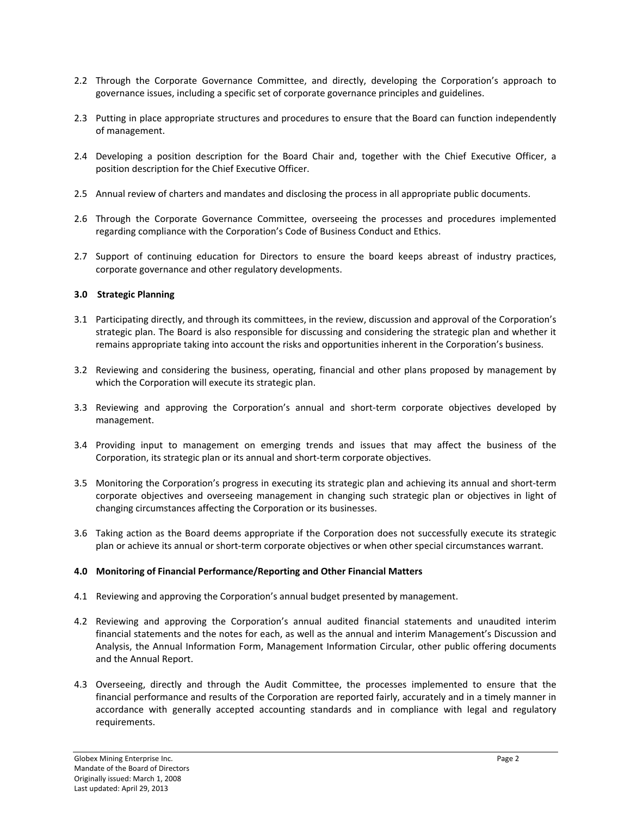- 2.2 Through the Corporate Governance Committee, and directly, developing the Corporation's approach to governance issues, including a specific set of corporate governance principles and guidelines.
- 2.3 Putting in place appropriate structures and procedures to ensure that the Board can function independently of management.
- 2.4 Developing a position description for the Board Chair and, together with the Chief Executive Officer, a position description for the Chief Executive Officer.
- 2.5 Annual review of charters and mandates and disclosing the process in all appropriate public documents.
- 2.6 Through the Corporate Governance Committee, overseeing the processes and procedures implemented regarding compliance with the Corporation's Code of Business Conduct and Ethics.
- 2.7 Support of continuing education for Directors to ensure the board keeps abreast of industry practices, corporate governance and other regulatory developments.

## **3.0 Strategic Planning**

- 3.1 Participating directly, and through its committees, in the review, discussion and approval of the Corporation's strategic plan. The Board is also responsible for discussing and considering the strategic plan and whether it remains appropriate taking into account the risks and opportunities inherent in the Corporation's business.
- 3.2 Reviewing and considering the business, operating, financial and other plans proposed by management by which the Corporation will execute its strategic plan.
- 3.3 Reviewing and approving the Corporation's annual and short-term corporate objectives developed by management.
- 3.4 Providing input to management on emerging trends and issues that may affect the business of the Corporation, its strategic plan or its annual and short‐term corporate objectives.
- 3.5 Monitoring the Corporation's progress in executing its strategic plan and achieving its annual and short‐term corporate objectives and overseeing management in changing such strategic plan or objectives in light of changing circumstances affecting the Corporation or its businesses.
- 3.6 Taking action as the Board deems appropriate if the Corporation does not successfully execute its strategic plan or achieve its annual or short‐term corporate objectives or when other special circumstances warrant.

#### **4.0 Monitoring of Financial Performance/Reporting and Other Financial Matters**

- 4.1 Reviewing and approving the Corporation's annual budget presented by management.
- 4.2 Reviewing and approving the Corporation's annual audited financial statements and unaudited interim financial statements and the notes for each, as well as the annual and interim Management's Discussion and Analysis, the Annual Information Form, Management Information Circular, other public offering documents and the Annual Report.
- 4.3 Overseeing, directly and through the Audit Committee, the processes implemented to ensure that the financial performance and results of the Corporation are reported fairly, accurately and in a timely manner in accordance with generally accepted accounting standards and in compliance with legal and regulatory requirements.